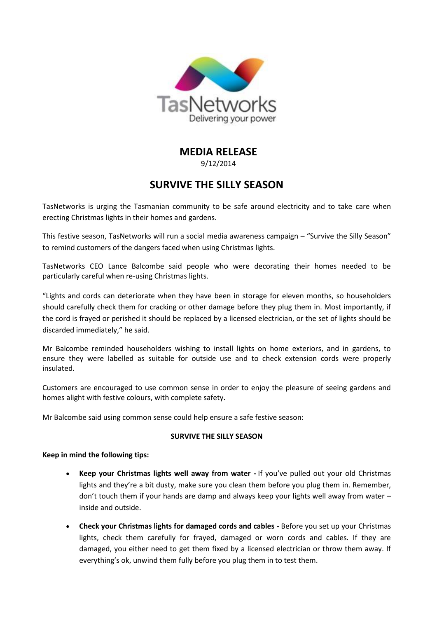

**MEDIA RELEASE** 9/12/2014

## **SURVIVE THE SILLY SEASON**

TasNetworks is urging the Tasmanian community to be safe around electricity and to take care when erecting Christmas lights in their homes and gardens.

This festive season, TasNetworks will run a social media awareness campaign – "Survive the Silly Season" to remind customers of the dangers faced when using Christmas lights.

TasNetworks CEO Lance Balcombe said people who were decorating their homes needed to be particularly careful when re-using Christmas lights.

"Lights and cords can deteriorate when they have been in storage for eleven months, so householders should carefully check them for cracking or other damage before they plug them in. Most importantly, if the cord is frayed or perished it should be replaced by a licensed electrician, or the set of lights should be discarded immediately," he said.

Mr Balcombe reminded householders wishing to install lights on home exteriors, and in gardens, to ensure they were labelled as suitable for outside use and to check extension cords were properly insulated.

Customers are encouraged to use common sense in order to enjoy the pleasure of seeing gardens and homes alight with festive colours, with complete safety.

Mr Balcombe said using common sense could help ensure a safe festive season:

## **SURVIVE THE SILLY SEASON**

## **Keep in mind the following tips:**

- **Keep your Christmas lights well away from water -** If you've pulled out your old Christmas lights and they're a bit dusty, make sure you clean them before you plug them in. Remember, don't touch them if your hands are damp and always keep your lights well away from water – inside and outside.
- **Check your Christmas lights for damaged cords and cables -** Before you set up your Christmas lights, check them carefully for frayed, damaged or worn cords and cables. If they are damaged, you either need to get them fixed by a licensed electrician or throw them away. If everything's ok, unwind them fully before you plug them in to test them.